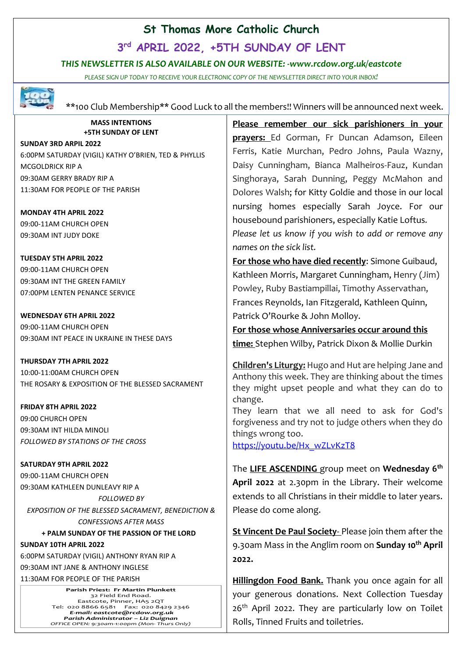#### **St Thomas More Catholic Church**

**3 rd APRIL 2022, +5TH SUNDAY OF LENT**

#### *THIS NEWSLETTER IS ALSO AVAILABLE ON OUR WEBSITE: -www.rcdow.org.uk/eastcote*

*PLEASE SIGN UP TODAY TO RECEIVE YOUR ELECTRONIC COPY OF THE NEWSLETTER DIRECT INTO YOUR INBOX!*



\*\*100 Club Membership\*\* Good Luck to all the members!! Winners will be announced next week.

**MASS INTENTIONS +5TH SUNDAY OF LENT**

**SUNDAY 3RD ARPIL 2022**

6:00PM SATURDAY (VIGIL) KATHY O'BRIEN, TED & PHYLLIS MCGOLDRICK RIP A 09:30AM GERRY BRADY RIP A 11:30AM FOR PEOPLE OF THE PARISH

**MONDAY 4TH APRIL 2022** 09:00-11AM CHURCH OPEN 09:30AM INT JUDY DOKE

**TUESDAY 5TH APRIL 2022** 09:00-11AM CHURCH OPEN 09:30AM INT THE GREEN FAMILY 07:00PM LENTEN PENANCE SERVICE

**WEDNESDAY 6TH APRIL 2022** 09:00-11AM CHURCH OPEN 09:30AM INT PEACE IN UKRAINE IN THESE DAYS

**THURSDAY 7TH APRIL 2022** 10:00-11:00AM CHURCH OPEN THE ROSARY & EXPOSITION OF THE BLESSED SACRAMENT

**FRIDAY 8TH APRIL 2022** 09:00 CHURCH OPEN 09:30AM INT HILDA MINOLI *FOLLOWED BY STATIONS OF THE CROSS*

**SATURDAY 9TH APRIL 2022** 09:00-11AM CHURCH OPEN 09:30AM KATHLEEN DUNLEAVY RIP A *FOLLOWED BY EXPOSITION OF THE BLESSED SACRAMENT, BENEDICTION & CONFESSIONS AFTER MASS* 

 **+ PALM SUNDAY OF THE PASSION OF THE LORD SUNDAY 10TH APRIL 2022**

6:00PM SATURDAY (VIGIL) ANTHONY RYAN RIP A

09:30AM INT JANE & ANTHONY INGLESE

11:30AM FOR PEOPLE OF THE PARISH

**Parish Priest: Fr Martin Plunkett**  32 Field End Road. Eastcote, Pinner, HA5 2QT Tel: 020 8866 6581 Fax: 020 8429 2346 *E-mail: eastcote@rcdow.org.uk Parish Administrator – Liz Duignan OFFICE OPEN: 9:30am-1:00pm (Mon- Thurs Only)*

**Please remember our sick parishioners in your prayers:** Ed Gorman, Fr Duncan Adamson, Eileen Ferris, Katie Murchan, Pedro Johns, Paula Wazny, Daisy Cunningham, Bianca Malheiros-Fauz, Kundan Singhoraya, Sarah Dunning, Peggy McMahon and Dolores Walsh; for Kitty Goldie and those in our local nursing homes especially Sarah Joyce. For our housebound parishioners, especially Katie Loftus*. Please let us know if you wish to add or remove any names on the sick list.*

**For those who have died recently**: Simone Guibaud, Kathleen Morris, Margaret Cunningham, Henry (Jim) Powley, Ruby Bastiampillai, Timothy Asservathan, Frances Reynolds, Ian Fitzgerald, Kathleen Quinn, Patrick O'Rourke & John Molloy.

**For those whose Anniversaries occur around this time:** Stephen Wilby, Patrick Dixon & Mollie Durkin

**Children's Liturgy:** Hugo and Hut are helping Jane and Anthony this week. They are thinking about the times they might upset people and what they can do to change.

They learn that we all need to ask for God's forgiveness and try not to judge others when they do things wrong too.

[https://youtu.be/Hx\\_wZLvKzT8](https://youtu.be/Hx_wZLvKzT8)

The **LIFE ASCENDING** group meet on **Wednesday 6 th April 2022** at 2.30pm in the Library. Their welcome extends to all Christians in their middle to later years. Please do come along.

**St Vincent De Paul Society**- Please join them after the 9.30am Mass in the Anglim room on **Sunday 10th April 2022.**

**Hillingdon Food Bank.** Thank you once again for all your generous donations. Next Collection Tuesday  $26<sup>th</sup>$  April 2022. They are particularly low on Toilet Rolls, Tinned Fruits and toiletries.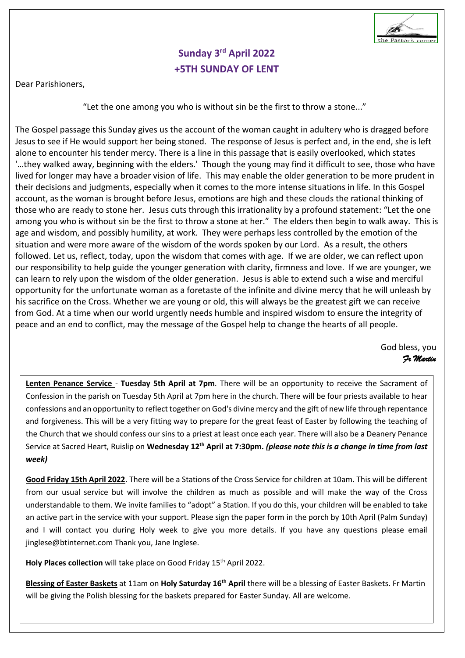

## **Sunday 3 rd April 2022 +5TH SUNDAY OF LENT**

Dear Parishioners,

"Let the one among you who is without sin be the first to throw a stone..."

The Gospel passage this Sunday gives us the account of the woman caught in adultery who is dragged before Jesus to see if He would support her being stoned. The response of Jesus is perfect and, in the end, she is left alone to encounter his tender mercy. There is a line in this passage that is easily overlooked, which states '…they walked away, beginning with the elders.' Though the young may find it difficult to see, those who have lived for longer may have a broader vision of life. This may enable the older generation to be more prudent in their decisions and judgments, especially when it comes to the more intense situations in life. In this Gospel account, as the woman is brought before Jesus, emotions are high and these clouds the rational thinking of those who are ready to stone her. Jesus cuts through this irrationality by a profound statement: "Let the one among you who is without sin be the first to throw a stone at her." The elders then begin to walk away. This is age and wisdom, and possibly humility, at work. They were perhaps less controlled by the emotion of the situation and were more aware of the wisdom of the words spoken by our Lord. As a result, the others followed. Let us, reflect, today, upon the wisdom that comes with age. If we are older, we can reflect upon our responsibility to help guide the younger generation with clarity, firmness and love. If we are younger, we can learn to rely upon the wisdom of the older generation. Jesus is able to extend such a wise and merciful opportunity for the unfortunate woman as a foretaste of the infinite and divine mercy that he will unleash by his sacrifice on the Cross. Whether we are young or old, this will always be the greatest gift we can receive from God. At a time when our world urgently needs humble and inspired wisdom to ensure the integrity of peace and an end to conflict, may the message of the Gospel help to change the hearts of all people.

God bless, you  *Fr Martin* 

**Lenten Penance Service** - **Tuesday 5th April at 7pm**. There will be an opportunity to receive the Sacrament of Confession in the parish on Tuesday 5th April at 7pm here in the church. There will be four priests available to hear confessions and an opportunity to reflect together on God's divine mercy and the gift of new life through repentance and forgiveness. This will be a very fitting way to prepare for the great feast of Easter by following the teaching of the Church that we should confess our sins to a priest at least once each year. There will also be a Deanery Penance Service at Sacred Heart, Ruislip on **Wednesday 12th April at 7:30pm.** *(please note this is a change in time from last week)*

**Good Friday 15th April 2022**. There will be a Stations of the Cross Service for children at 10am. This will be different from our usual service but will involve the children as much as possible and will make the way of the Cross understandable to them. We invite families to "adopt" a Station. If you do this, your children will be enabled to take an active part in the service with your support. Please sign the paper form in the porch by 10th April (Palm Sunday) and I will contact you during Holy week to give you more details. If you have any questions please email jinglese@btinternet.com Thank you, Jane Inglese.

Holy Places collection will take place on Good Friday 15<sup>th</sup> April 2022.

Blessing of Easter Baskets at 11am on Holy Saturday 16<sup>th</sup> April there will be a blessing of Easter Baskets. Fr Martin will be giving the Polish blessing for the baskets prepared for Easter Sunday. All are welcome.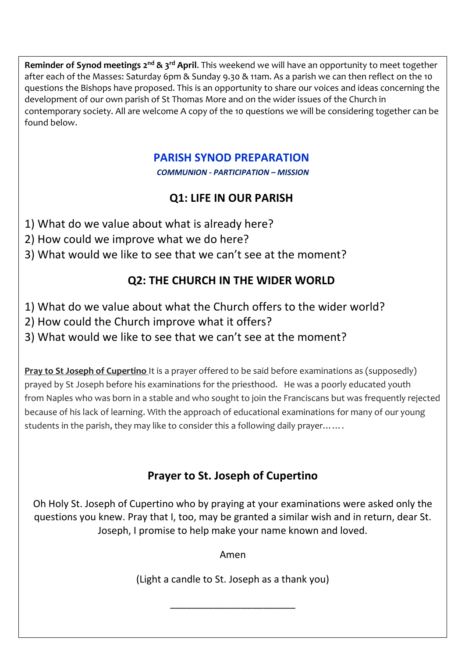$\bf R$ **eminder of Synod meetings 2** $^{\rm nd}$  **& 3** $^{\rm rd}$  **<b>April**. This weekend we will have an opportunity to meet together after each of the Masses: Saturday 6pm & Sunday 9.30 & 11am. As a parish we can then reflect on the 10 questions the Bishops have proposed. This is an opportunity to share our voices and ideas concerning the development of our own parish of St Thomas More and on the wider issues of the Church in contemporary society. All are welcome A copy of the 10 questions we will be considering together can be found below.

## **PARISH SYNOD PREPARATION**

*COMMUNION - PARTICIPATION – MISSION*

## **Q1: LIFE IN OUR PARISH**

- 1) What do we value about what is already here?
- 2) How could we improve what we do here?
- 3) What would we like to see that we can't see at the moment?

# **Q2: THE CHURCH IN THE WIDER WORLD**

- 1) What do we value about what the Church offers to the wider world?
- 2) How could the Church improve what it offers?
- 3) What would we like to see that we can't see at the moment?

**Pray to St Joseph of Cupertino** It is a prayer offered to be said before examinations as (supposedly) prayed by St Joseph before his examinations for the priesthood. He was a poorly educated youth from Naples who was born in a stable and who sought to join the Franciscans but was frequently rejected because of his lack of learning. With the approach of educational examinations for many of our young students in the parish, they may like to consider this a following daily prayer.......

## **Prayer to St. Joseph of Cupertino**

Oh Holy St. Joseph of Cupertino who by praying at your examinations were asked only the questions you knew. Pray that I, too, may be granted a similar wish and in return, dear St. Joseph, I promise to help make your name known and loved.

Amen

(Light a candle to St. Joseph as a thank you)

\_\_\_\_\_\_\_\_\_\_\_\_\_\_\_\_\_\_\_\_\_\_\_